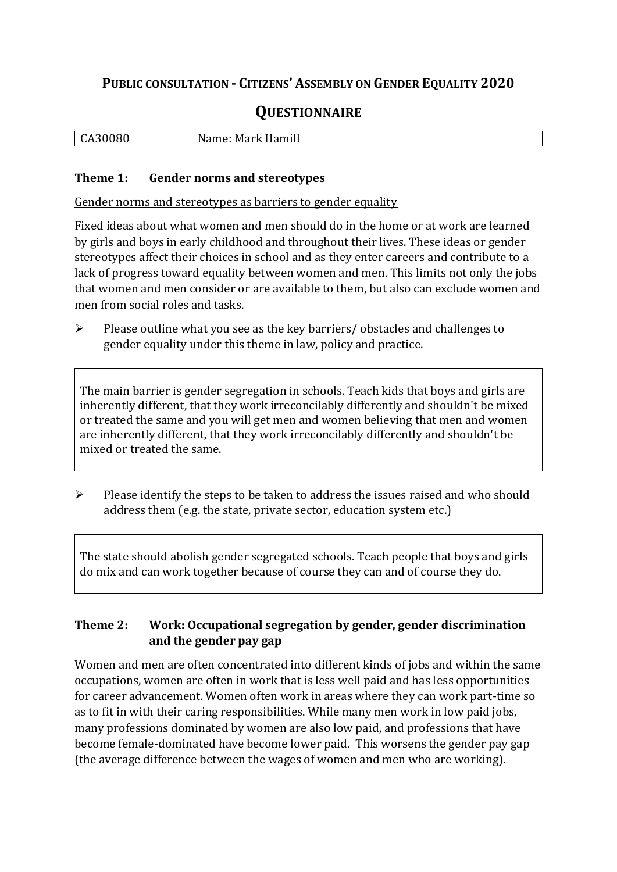## **PUBLIC CONSULTATION - CITIZENS' ASSEMBLY ON GENDER EQUALITY 2020**

# **QUESTIONNAIRE**

| Hamill<br>. JOU<br>ິ<br>$\cdot$<br> |
|-------------------------------------|
|-------------------------------------|

#### **Theme 1: Gender norms and stereotypes**

Gender norms and stereotypes as barriers to gender equality

Fixed ideas about what women and men should do in the home or at work are learned by girls and boys in early childhood and throughout their lives. These ideas or gender stereotypes affect their choices in school and as they enter careers and contribute to a lack of progress toward equality between women and men. This limits not only the jobs that women and men consider or are available to them, but also can exclude women and men from social roles and tasks.

➢ Please outline what you see as the key barriers/ obstacles and challenges to gender equality under this theme in law, policy and practice.

The main barrier is gender segregation in schools. Teach kids that boys and girls are inherently different, that they work irreconcilably differently and shouldn't be mixed or treated the same and you will get men and women believing that men and women are inherently different, that they work irreconcilably differently and shouldn't be mixed or treated the same.

➢ Please identify the steps to be taken to address the issues raised and who should address them (e.g. the state, private sector, education system etc.)

The state should abolish gender segregated schools. Teach people that boys and girls do mix and can work together because of course they can and of course they do.

### **Theme 2: Work: Occupational segregation by gender, gender discrimination and the gender pay gap**

Women and men are often concentrated into different kinds of jobs and within the same occupations, women are often in work that is less well paid and has less opportunities for career advancement. Women often work in areas where they can work part-time so as to fit in with their caring responsibilities. While many men work in low paid jobs, many professions dominated by women are also low paid, and professions that have become female-dominated have become lower paid. This worsens the gender pay gap (the average difference between the wages of women and men who are working).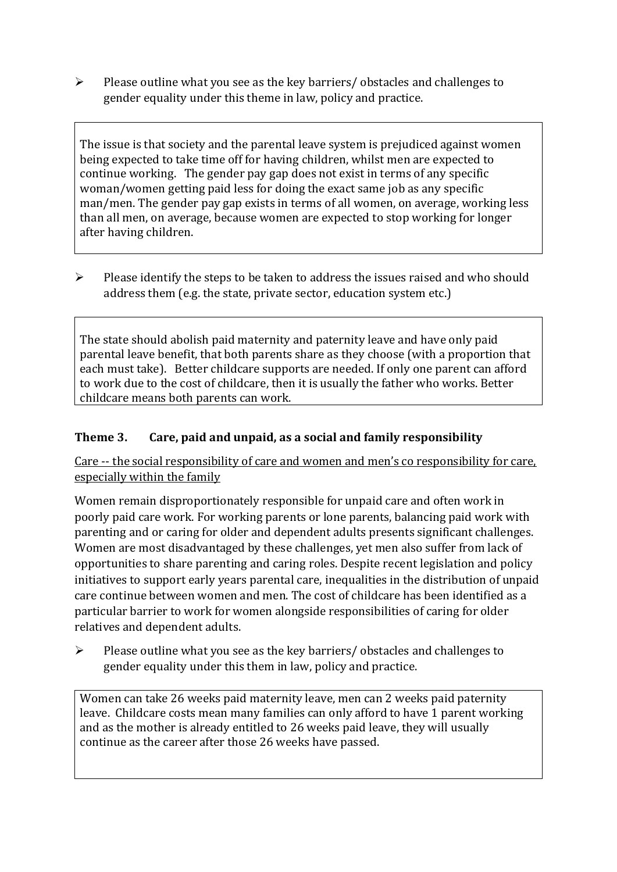➢ Please outline what you see as the key barriers/ obstacles and challenges to gender equality under this theme in law, policy and practice.

The issue is that society and the parental leave system is prejudiced against women being expected to take time off for having children, whilst men are expected to continue working. The gender pay gap does not exist in terms of any specific woman/women getting paid less for doing the exact same job as any specific man/men. The gender pay gap exists in terms of all women, on average, working less than all men, on average, because women are expected to stop working for longer after having children.

➢ Please identify the steps to be taken to address the issues raised and who should address them (e.g. the state, private sector, education system etc.)

The state should abolish paid maternity and paternity leave and have only paid parental leave benefit, that both parents share as they choose (with a proportion that each must take). Better childcare supports are needed. If only one parent can afford to work due to the cost of childcare, then it is usually the father who works. Better childcare means both parents can work.

### **Theme 3. Care, paid and unpaid, as a social and family responsibility**

Care -- the social responsibility of care and women and men's co responsibility for care, especially within the family

Women remain disproportionately responsible for unpaid care and often work in poorly paid care work. For working parents or [lone parents,](https://aran.library.nuigalway.ie/bitstream/handle/10379/6044/Millar_and_Crosse_Activation_Report.pdf?sequence=1&isAllowed=y) balancing paid work with parenting and or caring for older and dependent adults presents significant challenges. Women are [most disadvantaged by these challenges,](https://eige.europa.eu/gender-equality-index/game/IE/W) yet men also suffer from lack of opportunities to share parenting and caring roles. Despite recent legislation and policy initiatives to support early years parental care, [inequalities in the distribution of unpaid](https://www.ihrec.ie/app/uploads/2019/07/Caring-and-Unpaid-Work-in-Ireland_Final.pdf)  [care](https://www.ihrec.ie/app/uploads/2019/07/Caring-and-Unpaid-Work-in-Ireland_Final.pdf) continue between women and men. The cost of childcare has been identified as a particular barrier to work for women alongside responsibilities of caring for older relatives and dependent adults.

➢ Please outline what you see as the key barriers/ obstacles and challenges to gender equality under this them in law, policy and practice.

Women can take 26 weeks paid maternity leave, men can 2 weeks paid paternity leave. Childcare costs mean many families can only afford to have 1 parent working and as the mother is already entitled to 26 weeks paid leave, they will usually continue as the career after those 26 weeks have passed.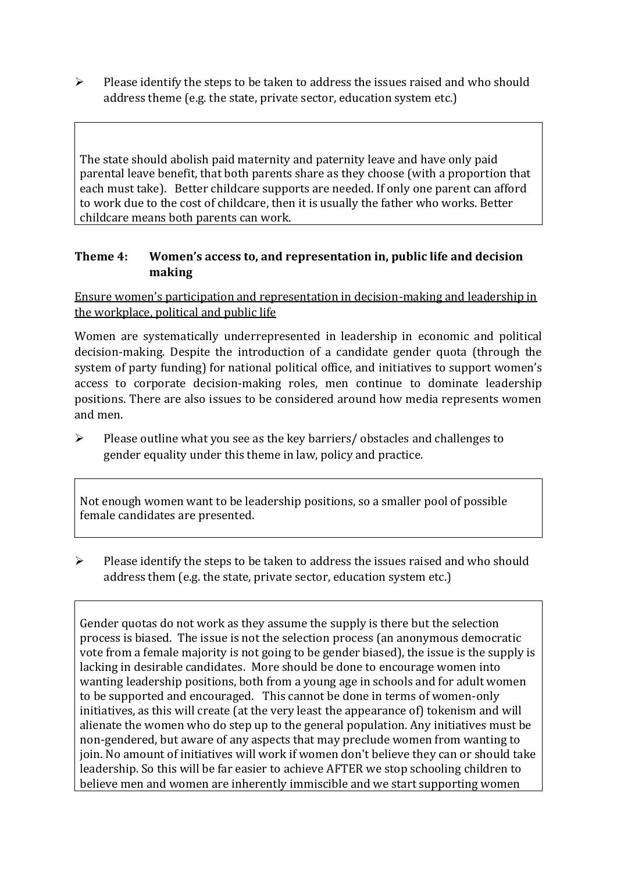➢ Please identify the steps to be taken to address the issues raised and who should address theme (e.g. the state, private sector, education system etc.)

The state should abolish paid maternity and paternity leave and have only paid parental leave benefit, that both parents share as they choose (with a proportion that each must take). Better childcare supports are needed. If only one parent can afford to work due to the cost of childcare, then it is usually the father who works. Better childcare means both parents can work.

#### **Theme 4: Women's access to, and representation in, public life and decision making**

Ensure women's participation and representation in decision-making and leadership in the workplace, political and public life

Women are systematically underrepresented in leadership in [economic](https://eige.europa.eu/gender-equality-index/2019/compare-countries/power/2/bar) and [political](https://eige.europa.eu/gender-equality-index/2019/compare-countries/power/1/bar)  [decision-](https://eige.europa.eu/gender-equality-index/2019/compare-countries/power/1/bar)making. Despite the introduction of a candidate gender quota (through the system of party funding) for national political office, and [initiatives](https://betterbalance.ie/) to support women's access to corporate decision-making roles, men continue to dominate leadership positions. There are also issues to be considered around how media represents women and men.

➢ Please outline what you see as the key barriers/ obstacles and challenges to gender equality under this theme in law, policy and practice.

Not enough women want to be leadership positions, so a smaller pool of possible female candidates are presented.

➢ Please identify the steps to be taken to address the issues raised and who should address them (e.g. the state, private sector, education system etc.)

Gender quotas do not work as they assume the supply is there but the selection process is biased. The issue is not the selection process (an anonymous democratic vote from a female majority is not going to be gender biased), the issue is the supply is lacking in desirable candidates. More should be done to encourage women into wanting leadership positions, both from a young age in schools and for adult women to be supported and encouraged. This cannot be done in terms of women-only initiatives, as this will create (at the very least the appearance of) tokenism and will alienate the women who do step up to the general population. Any initiatives must be non-gendered, but aware of any aspects that may preclude women from wanting to join. No amount of initiatives will work if women don't believe they can or should take leadership. So this will be far easier to achieve AFTER we stop schooling children to believe men and women are inherently immiscible and we start supporting women